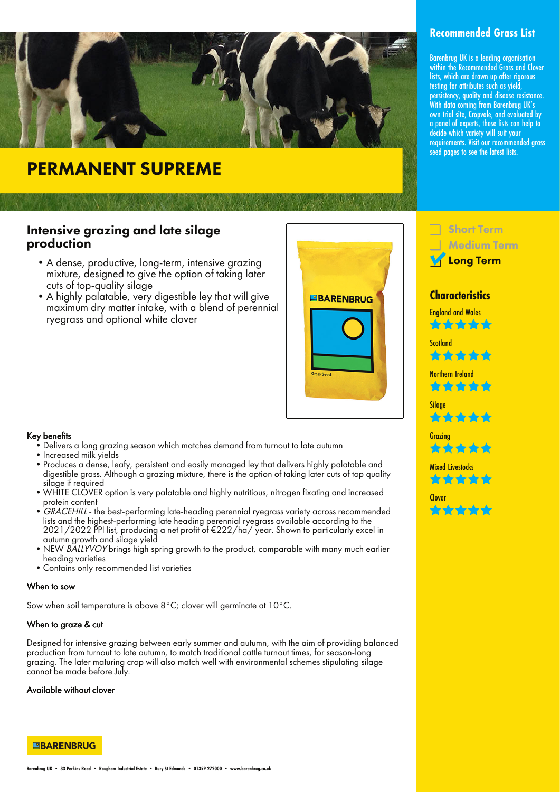

# PERMANENT SUPREME

### Intensive grazing and late silage production

- •A dense, productive, long-term, intensive grazing mixture, designed to give the option of taking later cuts of top-quality silage
- •A highly palatable, very digestible ley that will give maximum dry matter intake, with a blend of perennial ryegrass and optional white clover



#### Key benefits

- •Delivers a long grazing season which matches demand from turnout to late autumn
- •Increased milk yields
- •Produces a dense, leafy, persistent and easily managed ley that delivers highly palatable and digestible grass. Although a grazing mixture, there is the option of taking later cuts of top quality silgae if required
- •WHITE CLOVER option is very palatable and highly nutritious, nitrogen fixating and increased protein content
- GRACEHILL the best-performing late-heading perennial ryegrass variety across recommended lists and the highest-performing late heading perennial ryegrass available according to the 2021/2022 PPI list, producing a net profit of €222/ha/ year. Shown to particularly excel in autumn growth and silage yield
- NEW BALLYVOY brings high spring growth to the product, comparable with many much earlier heading varieties
- •Contains only recommended list varieties

#### When to sow

Sow when soil temperature is above 8°C; clover will germinate at 10°C.

#### When to graze & cut

Designed for intensive grazing between early summer and autumn, with the aim of providing balanced production from turnout to late autumn, to match traditional cattle turnout times, for season-long grazing. The later maturing crop will also match well with environmental schemes stipulating silage cannot be made before July.

#### Available without clover

**EBARENBRUG** 

# **Recommended Grass List**

Barenbrug UK is a leading organisation within the Recommended Grass and Clover lists, which are drawn up after rigorous testing for attributes such as yield, persistency, quality and disease resistance. With data coming from Barenbrug UK's own trial site, Cropvale, and evaluated by a panel of experts, these lists can help to decide which variety will suit your requirements. Visit our recommended grass seed pages to see the latest lists.



## **Characteristics**

England and Wales 含含含含合

**Scotland** ta da da da d

Northern Ireland \*\*\*\*\*

Silage

**Grazina** 合金く

**Mixed Livestocks** ✿☆☆

Clover